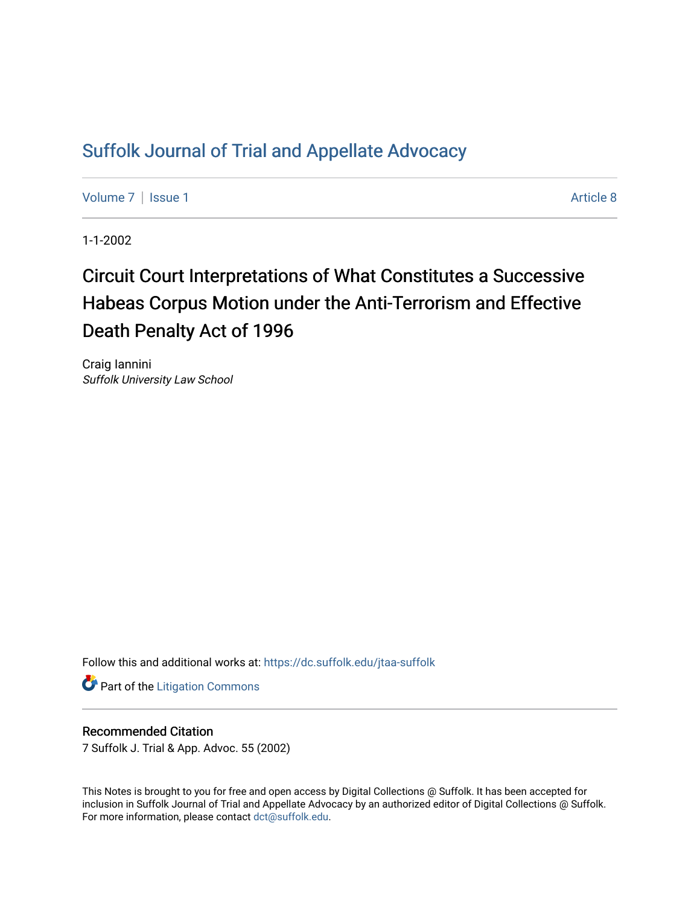## [Suffolk Journal of Trial and Appellate Advocacy](https://dc.suffolk.edu/jtaa-suffolk)

[Volume 7](https://dc.suffolk.edu/jtaa-suffolk/vol7) | [Issue 1](https://dc.suffolk.edu/jtaa-suffolk/vol7/iss1) Article 8

1-1-2002

# Circuit Court Interpretations of What Constitutes a Successive Habeas Corpus Motion under the Anti-Terrorism and Effective Death Penalty Act of 1996

Craig Iannini Suffolk University Law School

Follow this and additional works at: [https://dc.suffolk.edu/jtaa-suffolk](https://dc.suffolk.edu/jtaa-suffolk?utm_source=dc.suffolk.edu%2Fjtaa-suffolk%2Fvol7%2Fiss1%2F8&utm_medium=PDF&utm_campaign=PDFCoverPages) 

**Part of the [Litigation Commons](https://network.bepress.com/hgg/discipline/910?utm_source=dc.suffolk.edu%2Fjtaa-suffolk%2Fvol7%2Fiss1%2F8&utm_medium=PDF&utm_campaign=PDFCoverPages)** 

#### Recommended Citation

7 Suffolk J. Trial & App. Advoc. 55 (2002)

This Notes is brought to you for free and open access by Digital Collections @ Suffolk. It has been accepted for inclusion in Suffolk Journal of Trial and Appellate Advocacy by an authorized editor of Digital Collections @ Suffolk. For more information, please contact [dct@suffolk.edu](mailto:dct@suffolk.edu).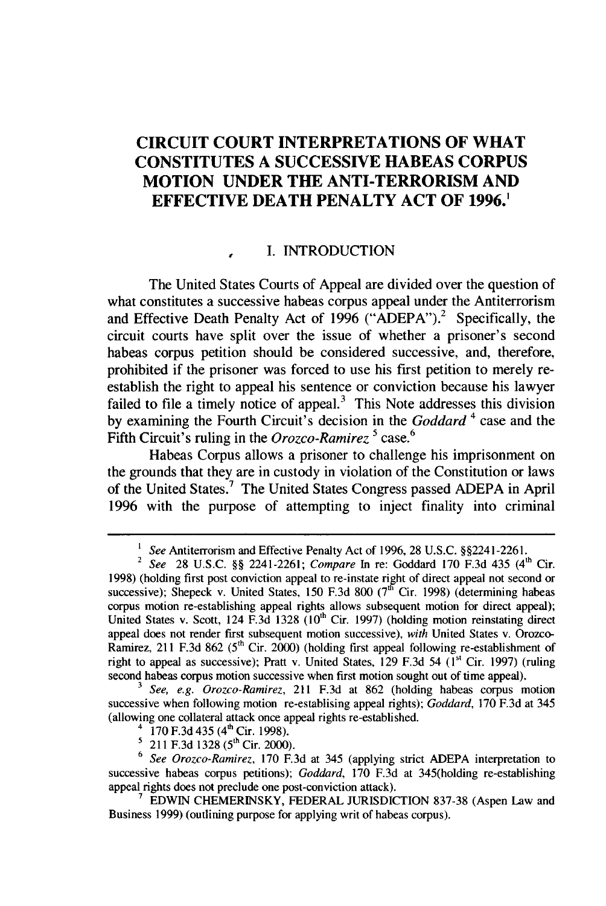### **CIRCUIT COURT INTERPRETATIONS OF WHAT CONSTITUTES A SUCCESSIVE HABEAS CORPUS MOTION UNDER THE ANTI-TERRORISM AND EFFECTIVE DEATH PENALTY ACT OF 1996.1**

#### *,* I. INTRODUCTION

The United States Courts of Appeal are divided over the question of what constitutes a successive habeas corpus appeal under the Antiterrorism and Effective Death Penalty Act of 1996 (" $\widehat{ADEPA}$ ").<sup>2</sup> Specifically, the circuit courts have split over the issue of whether a prisoner's second habeas corpus petition should be considered successive, and, therefore, prohibited if the prisoner was forced to use his first petition to merely reestablish the right to appeal his sentence or conviction because his lawyer failed to file a timely notice of appeal.<sup>3</sup> This Note addresses this division by examining the Fourth Circuit's decision in the *Goddard* 4 case and the Fifth Circuit's ruling in the *Orozco-Ramirez 5* case.6

Habeas Corpus allows a prisoner to challenge his imprisonment on the grounds that they are in custody in violation of the Constitution or laws of the United States.' The United States Congress passed ADEPA in April 1996 with the purpose of attempting to inject finality into criminal

*3 See, e.g. Orozco-Ramirez,* 211 F.3d at 862 (holding habeas corpus motion successive when following motion re-establising appeal rights); *Goddard,* 170 F.3d at 345 (allowing one collateral attack once appeal rights re-established.

- 170 F.3d 435 (4<sup>th</sup> Cir. 1998).
- 211 F.3d 1328 (5<sup>th</sup> Cir. 2000).

<sup>6</sup>*See Orozco-Ramirez,* 170 F.3d at 345 (applying strict ADEPA interpretation to successive habeas corpus petitions); *Goddard,* 170 F.3d at 345(holding re-establishing appeal rights does not preclude one post-conviction attack).

<sup>&</sup>lt;sup>1</sup> *See* Antiterrorism and Effective Penalty Act of 1996, 28 U.S.C. §§2241-2261. 2 See Antitudionshi and Effective Fenally Act of 1990, 26 U.S.C. §§2241-2261.<br><sup>2</sup> See 29 U.S.C. 88 2241 2261: *Compare* In re: Goddard 170 F.3d 435 (4<sup>th</sup> Cir.

<sup>1998) (</sup>holding first post conviction appeal to re-instate ripht of direct appeal not second or successive); Shepeck v. United States, 150 F.3d 800 ( $7^{16}$  Cir. 1998) (determining habeas corpus motion re-establishing appeal rights allows subsequent motion for direct appeal); United States v. Scott, 124 F.3d 1328 **(10"'** Cir. 1997) (holding motion reinstating direct appeal does not render first subsequent motion successive), *with* United States v. Orozco-Ramirez, 211 F.3d 862 (5<sup>th</sup> Cir. 2000) (holding first appeal following re-establishment of right to appeal as successive); Pratt v. United States, 129 F.3d 54 (1<sup>st</sup> Cir. 1997) (ruling second habeas corpus motion successive when first motion sought out of time appeal).

<sup>7</sup> EDWIN CHEMERINSKY, FEDERAL JURISDICTION 837-38 (Aspen Law and Business 1999) (outlining purpose for applying writ of habeas corpus).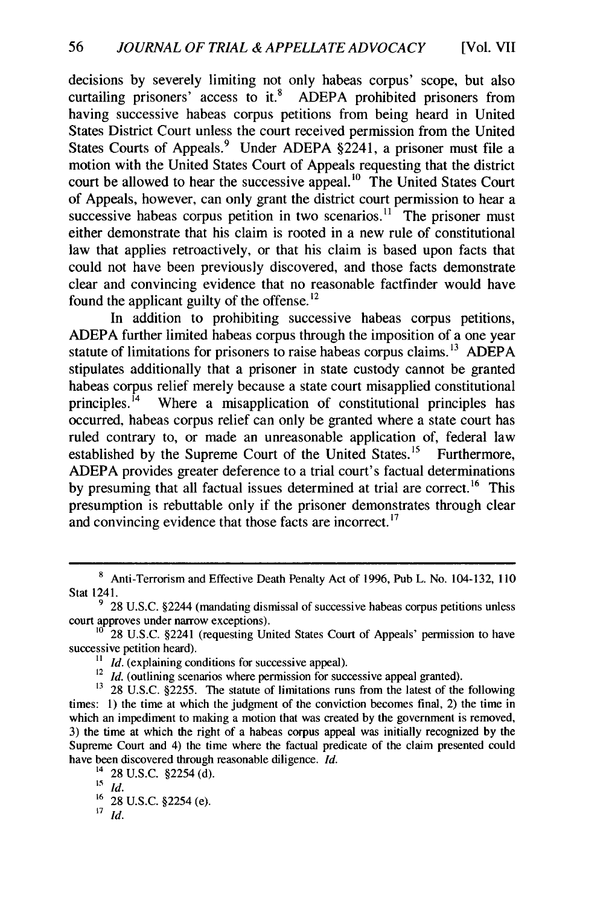decisions by severely limiting not only habeas corpus' scope, but also curtailing prisoners' access to it.<sup>8</sup> ADEPA prohibited prisoners from having successive habeas corpus petitions from being heard in United States District Court unless the court received permission from the United States Courts of Appeals.<sup>9</sup> Under ADEPA §2241, a prisoner must file a motion with the United States Court of Appeals requesting that the district court be allowed to hear the successive appeal.<sup>10</sup> The United States Court of Appeals, however, can only grant the district court permission to hear a successive habeas corpus petition in two scenarios.<sup>11</sup> The prisoner must either demonstrate that his claim is rooted in a new rule of constitutional law that applies retroactively, or that his claim is based upon facts that could not have been previously discovered, and those facts demonstrate clear and convincing evidence that no reasonable factfinder would have found the applicant guilty of the offense.<sup>12</sup>

In addition to prohibiting successive habeas corpus petitions, ADEPA further limited habeas corpus through the imposition of a one year statute of limitations for prisoners to raise habeas corpus claims.<sup>13</sup> ADEPA stipulates additionally that a prisoner in state custody cannot be granted habeas corpus relief merely because a state court misapplied constitutional principles.<sup>14</sup> Where a misapplication of constitutional principles has Where a misapplication of constitutional principles has occurred, habeas corpus relief can only be granted where a state court has ruled contrary to, or made an unreasonable application of, federal law established by the Supreme Court of the United States.<sup>15</sup> Furthermore, ADEPA provides greater deference to a trial court's factual determinations by presuming that all factual issues determined at trial are correct.<sup>16</sup> This presumption is rebuttable only if the prisoner demonstrates through clear and convincing evidence that those facts are incorrect. **<sup>17</sup>**

<sup>12</sup> *Id.* (outlining scenarios where permission for successive appeal granted).

**<sup>8</sup>** Anti-Terrorism and Effective Death Penalty Act of 1996, Pub L. No. 104-132, **110** Stat 1241.

**<sup>9</sup>** 28 U.S.C. §2244 (mandating dismissal of successive habeas corpus petitions unless court approves under narrow exceptions).

 $10^{10}$  28 U.S.C. §2241 (requesting United States Court of Appeals' permission to have successive petition heard).

 $11$  *Id.* (explaining conditions for successive appeal).

<sup>&</sup>lt;sup>13</sup> 28 U.S.C. §2255. The statute of limitations runs from the latest of the following times: 1) the time at which the judgment of the conviction becomes final, 2) the time in which an impediment to making a motion that was created by the government is removed, 3) the time at which the right of a habeas corpus appeal was initially recognized by the Supreme Court and 4) the time where the factual predicate of the claim presented could have been discovered through reasonable diligence. *Id.*

 $^{14}$  28 U.S.C. §2254 (d).

 $\overline{15}$   $\overline{1d}$ .

<sup>16</sup> 28 U.S.C. §2254 (e).

<sup>17</sup> *Id.*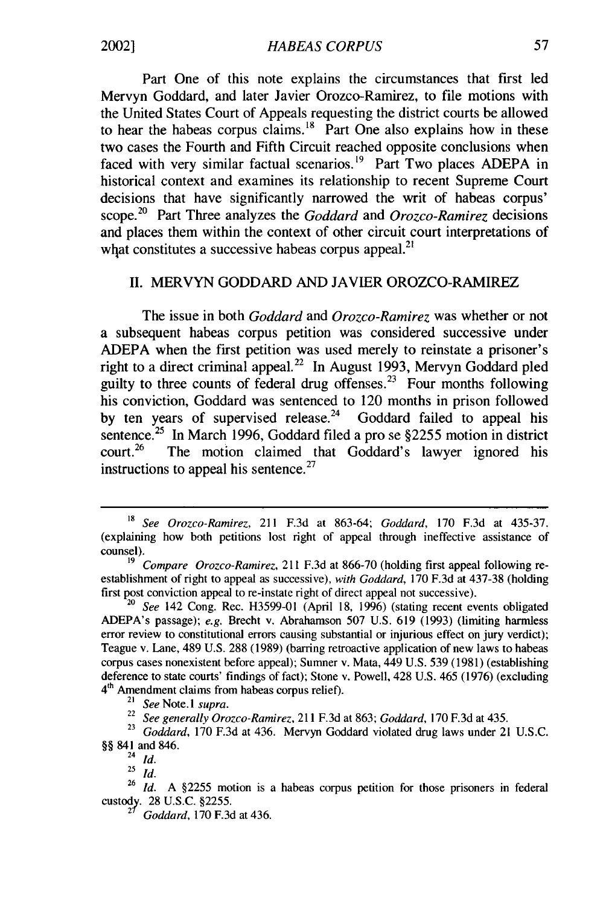Part One of this note explains the circumstances that first led Mervyn Goddard, and later Javier Orozco-Ramirez, to file motions with the United States Court of Appeals requesting the district courts be allowed to hear the habeas corpus claims.  $18$  Part One also explains how in these two cases the Fourth and Fifth Circuit reached opposite conclusions when faced with very similar factual scenarios.<sup>19</sup> Part Two places ADEPA in historical context and examines its relationship to recent Supreme Court decisions that have significantly narrowed the writ of habeas corpus' scope.<sup>20</sup> Part Three analyzes the *Goddard* and *Orozco-Ramirez* decisions and places them within the context of other circuit court interpretations of what constitutes a successive habeas corpus appeal.<sup>21</sup>

#### II. MERVYN GODDARD AND JAVIER OROZCO-RAMIREZ

The issue in both *Goddard* and *Orozco-Ramirez* was whether or not a subsequent habeas corpus petition was considered successive under ADEPA when the first petition was used merely to reinstate a prisoner's right to a direct criminal appeal.<sup>22</sup> In August 1993, Mervyn Goddard pled guilty to three counts of federal drug offenses.<sup>23</sup> Four months following his conviction, Goddard was sentenced to 120 months in prison followed by ten years of supervised release.<sup>24</sup> Goddard failed to appeal his sentence.<sup>25</sup> In March 1996, Goddard filed a pro se  $\S$ 2255 motion in district court.<sup>26</sup> The motion claimed that Goddard's lawyer ignored his The motion claimed that Goddard's lawyer ignored his instructions to appeal his sentence. $27$ 

*<sup>18</sup> See Orozco-Ramirez,* 211 F.3d at 863-64; Goddard, 170 F.3d at 435-37. (explaining how both petitions lost right of appeal through ineffective assistance of counsel).

*<sup>19</sup> Compare Orozco-Ramirez,* 211 F.3d at 866-70 (holding first appeal following reestablishment of right to appeal as successive), with Goddard, 170 F.3d at 437-38 (holding first post conviction appeal to re-instate right of direct appeal not successive).

<sup>20</sup>*See* 142 Cong. Rec. H3599-01 (April 18, 1996) (stating recent events obligated ADEPA's passage); *e.g.* Brecht v. Abrahamson 507 U.S. 619 (1993) (limiting harmless error review to constitutional errors causing substantial or injurious effect on jury verdict); Teague v. Lane, 489 U.S. 288 (1989) (barring retroactive application of new laws to habeas corpus cases nonexistent before appeal); Sumner v. Mata, 449 U.S. 539 (1981) (establishing deference to state courts' findings of fact); Stone v. Powell, 428 U.S. 465 (1976) (excluding 4<sup>th</sup> Amendment claims from habeas corpus relief).

<sup>21</sup> *See* Note. *I supra.*

*<sup>22</sup>See generally Orozco-Ramirez,* 211 F.3d at 863; *Goddard,* 170 F.3d at 435.

*<sup>23</sup>Goddard,* 170 F.3d at 436. Mervyn Goddard violated drug laws under 21 U.S.C. §§ 841 and 846.

<sup>24</sup>*Id.*

<sup>25</sup>*id.*

<sup>&</sup>lt;sup>26</sup> *Id.* A §2255 motion is a habeas corpus petition for those prisoners in federal custody. 28 U.S.C. §2255.

**<sup>27</sup>***Goddard,* 170 F.3d at 436.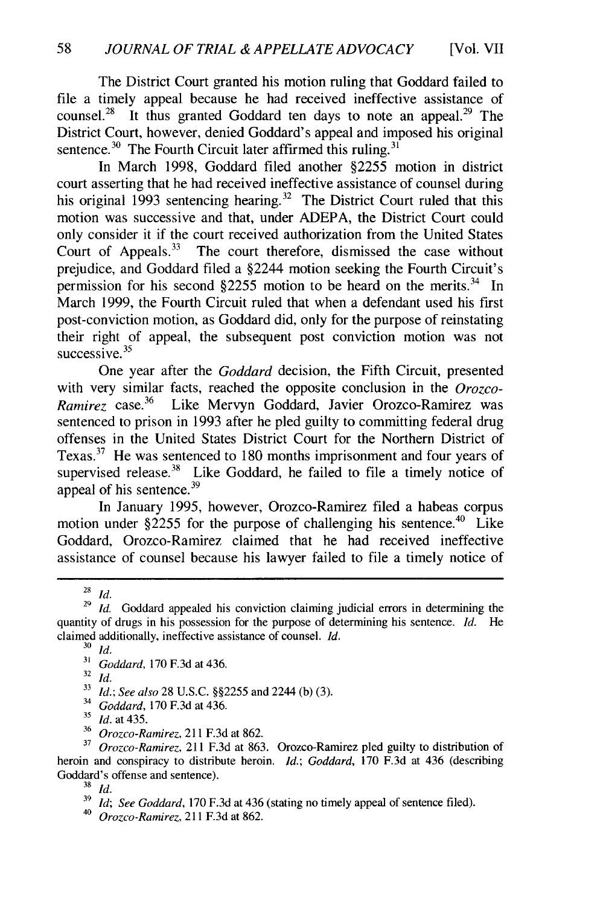The District Court granted his motion ruling that Goddard failed to file a timely appeal because he had received ineffective assistance of counsel.<sup>28</sup> It thus granted Goddard ten days to note an appeal.<sup>29</sup> The District Court, however, denied Goddard's appeal and imposed his original sentence.<sup>30</sup> The Fourth Circuit later affirmed this ruling.<sup>31</sup>

In March 1998, Goddard filed another §2255 motion in district court asserting that he had received ineffective assistance of counsel during his original 1993 sentencing hearing.<sup>32</sup> The District Court ruled that this motion was successive and that, under ADEPA, the District Court could only consider it if the court received authorization from the United States Court of Appeals. $33$  The court therefore, dismissed the case without prejudice, and Goddard filed a §2244 motion seeking the Fourth Circuit's permission for his second  $$2255$  motion to be heard on the merits.<sup>34</sup> In March 1999, the Fourth Circuit ruled that when a defendant used his first post-conviction motion, as Goddard did, only for the purpose of reinstating their right of appeal, the subsequent post conviction motion was not successive. $35$ 

One year after the *Goddard* decision, the Fifth Circuit, presented with very similar facts, reached the opposite conclusion in the *Orozco-Ramirez* case.<sup>36</sup> Like Mervyn Goddard, Javier Orozco-Ramirez was sentenced to prison in 1993 after he pled guilty to committing federal drug offenses in the United States District Court for the Northern District of Texas. $37$  He was sentenced to 180 months imprisonment and four years of supervised release.<sup>38</sup> Like Goddard, he failed to file a timely notice of appeal of his sentence.<sup>39</sup>

In January 1995, however, Orozco-Ramirez filed a habeas corpus motion under  $\S$ 2255 for the purpose of challenging his sentence.<sup>40</sup> Like Goddard, Orozco-Ramirez claimed that he had received ineffective assistance of counsel because his lawyer failed to file a timely notice of

<sup>28</sup>*Id.*

*<sup>34</sup>Goddard,* 170 F.3d at 436.

<sup>36</sup>*Orozco-Ramirez,* 211 F.3d at 862.

**<sup>29</sup>***Id.* Goddard appealed his conviction claiming judicial errors in determining the quantity of drugs in his possession for the purpose of determining his sentence. *Id.* He claimed additionally, ineffective assistance of counsel. *Id.*

**<sup>30</sup>***Id.*

**<sup>31</sup>***Goddard,* 170 F.3d at 436.

<sup>32</sup>*Id.*

**<sup>33</sup>***Id.; See also* 28 U.S.C. §§2255 and 2244 (b) (3).

*<sup>15</sup>Id.* at 435.

**<sup>37</sup>***Orozco-Ramirez,* 211 F.3d at 863. Orozco-Ramirez pled guilty to distribution of heroin and conspiracy to distribute heroin. *Id.; Goddard,* 170 F.3d at 436 (describing Goddard's offense and sentence).

<sup>38</sup> *Id.*

**<sup>39</sup>***Id; See Goddard,* 170 F.3d at 436 (stating no timely appeal of sentence filed).

*<sup>40</sup>Orozco-Ramirez,* 211 F.3d at 862.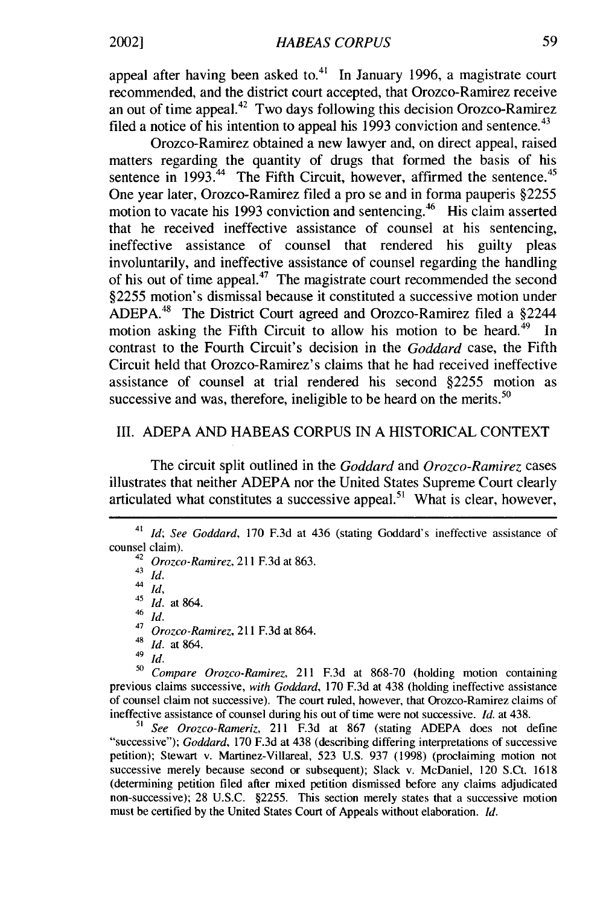appeal after having been asked to. $41$  In January 1996, a magistrate court recommended, and the district court accepted, that Orozco-Ramirez receive an out of time appeal.<sup>42</sup> Two days following this decision Orozco-Ramirez filed a notice of his intention to appeal his 1993 conviction and sentence.<sup>43</sup>

Orozco-Ramirez obtained a new lawyer and, on direct appeal, raised matters regarding the quantity of drugs that formed the basis of his sentence in  $1993$ .<sup>44</sup> The Fifth Circuit, however, affirmed the sentence.<sup>45</sup> One year later, Orozco-Ramirez filed a pro se and in forma pauperis §2255 motion to vacate his 1993 conviction and sentencing.<sup>46</sup> His claim asserted that he received ineffective assistance of counsel at his sentencing, ineffective assistance of counsel that rendered his guilty pleas involuntarily, and ineffective assistance of counsel regarding the handling of his out of time appeal.<sup>47</sup> The magistrate court recommended the second §2255 motion's dismissal because it constituted a successive motion under ADEPA.48 The District Court agreed and Orozco-Ramirez filed a §2244 motion asking the Fifth Circuit to allow his motion to be heard.<sup>49</sup> In contrast to the Fourth Circuit's decision in the *Goddard* case, the Fifth Circuit held that Orozco-Ramirez's claims that he had received ineffective assistance of counsel at trial rendered his second §2255 motion as successive and was, therefore, ineligible to be heard on the merits. $50$ 

#### III. ADEPA AND HABEAS CORPUS IN A HISTORICAL CONTEXT

The circuit split outlined in the *Goddard* and *Orozco-Ramirez* cases illustrates that neither ADEPA nor the United States Supreme Court clearly articulated what constitutes a successive appeal.<sup>51</sup> What is clear, however

 $\frac{43}{44}$  *Id.* 

44 *Id,*

<sup>45</sup>*Id.* at 864.

 $rac{46}{47}$  *Id.* 

- *<sup>47</sup>Orozco-Ramirez,* 211 F.3d at 864.
- $\frac{48}{49}$  *Id.* at 864.

 $\frac{49}{50}$  *Id.* 

**<sup>50</sup>***Compare Orozco-Ramirez,* 211 F.3d at 868-70 (holding motion containing previous claims successive, *with Goddard,* 170 F.3d at 438 (holding ineffective assistance of counsel claim not successive). The court ruled, however, that Orozco-Ramirez claims of ineffective assistance of counsel during his out of time were not successive. *Id.* at 438.

*<sup>51</sup>See Orozco-Rameriz,* 211 F.3d at 867 (stating ADEPA does not define "successive"); *Goddard,* 170 F.3d at 438 (describing differing interpretations of successive petition); Stewart v. Martinez-Villareal, 523 U.S. 937 (1998) (proclaiming motion not successive merely because second or subsequent); Slack v. McDaniel, 120 S.Ct. 1618 (determining petition filed after mixed petition dismissed before any claims adjudicated non-successive); 28 U.S.C. §2255. This section merely states that a successive motion must be certified by the United States Court of Appeals without elaboration. *Id.*

<sup>41</sup>*Id; See Goddard,* 170 F.3d at 436 (stating Goddard's ineffective assistance of counsel claim).

<sup>42</sup>*Orozco-Ramirez,* 211 F.3d at 863.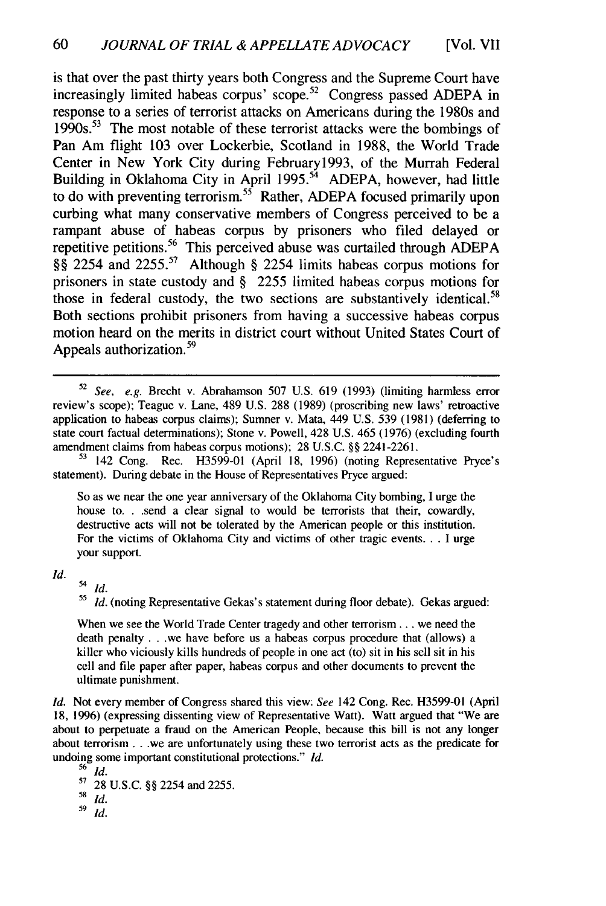is that over the past thirty years both Congress and the Supreme Court have increasingly limited habeas corpus' scope.<sup>52</sup> Congress passed ADEPA in response to a series of terrorist attacks on Americans during the 1980s and  $1990s$ <sup>53</sup> The most notable of these terrorist attacks were the bombings of Pan Am flight 103 over Lockerbie, Scotland in 1988, the World Trade Center in New York City during February1993, of the Murrah Federal Building in Oklahoma City in April 1995.<sup>54</sup> ADEPA, however, had little to do with preventing terrorism.<sup>35</sup> Rather, ADEPA focused primarily upon curbing what many conservative members of Congress perceived to be a rampant abuse of habeas corpus by prisoners who filed delayed or repetitive petitions.<sup>56</sup> This perceived abuse was curtailed through ADEPA §§ 2254 and 2255.<sup>57</sup> Although § 2254 limits habeas corpus motions for prisoners in state custody and § 2255 limited habeas corpus motions for those in federal custody, the two sections are substantively identical.<sup>58</sup> Both sections prohibit prisoners from having a successive habeas corpus motion heard on the merits in district court without United States Court of Appeals authorization.<sup>59</sup>

**<sup>53</sup>**142 Cong. Rec. H3599-01 (April 18, 1996) (noting Representative Pryce's statement). During debate in the House of Representatives Pryce argued:

So as we near the one year anniversary of the Oklahoma City bombing, I urge the house **to. .** .send a clear signal to would be terrorists that their, cowardly, destructive acts will not be tolerated by the American people or this institution. For the victims of Oklahoma City and victims of other tragic events. **.** . I urge your support.

*Id. Id.*

<sup>55</sup> Id. (noting Representative Gekas's statement during floor debate). Gekas argued:

When we see the World Trade Center tragedy and other terrorism... we need the death penalty ... we have before us a habeas corpus procedure that (allows) a killer who viciously kills hundreds of people in one act (to) sit in his sell sit in his cell and file paper after paper, habeas corpus and other documents to prevent the ultimate punishment.

*Id.* Not every member of Congress shared this view: *See* 142 Cong. Rec. H3599-01 (April 18, 1996) (expressing dissenting view of Representative Watt). Watt argued that "We are about to perpetuate a fraud on the American People, because this bill is not any longer about terrorism ... we are unfortunately using these two terrorist acts as the predicate for undoing some important constitutional protections." *Id.*

**56** *Id.* **5'** 28 U.S.C. §§ 2254 and 2255. *<sup>58</sup>*Id. *<sup>59</sup>Id.*

**<sup>52</sup>** *See, e.g.* Brecht v. Abrahamson 507 U.S. 619 (1993) (limiting harmless error review's scope); Teague v. Lane, 489 U.S. 288 (1989) (proscribing new laws' retroactive application to habeas corpus claims); Sumner v. Mata, 449 U.S. 539 (1981) (deferring to state court factual determinations); Stone v. Powell, 428 U.S. 465 (1976) (excluding fourth amendment claims from habeas corpus motions); 28 U.S.C. §§ 2241-2261.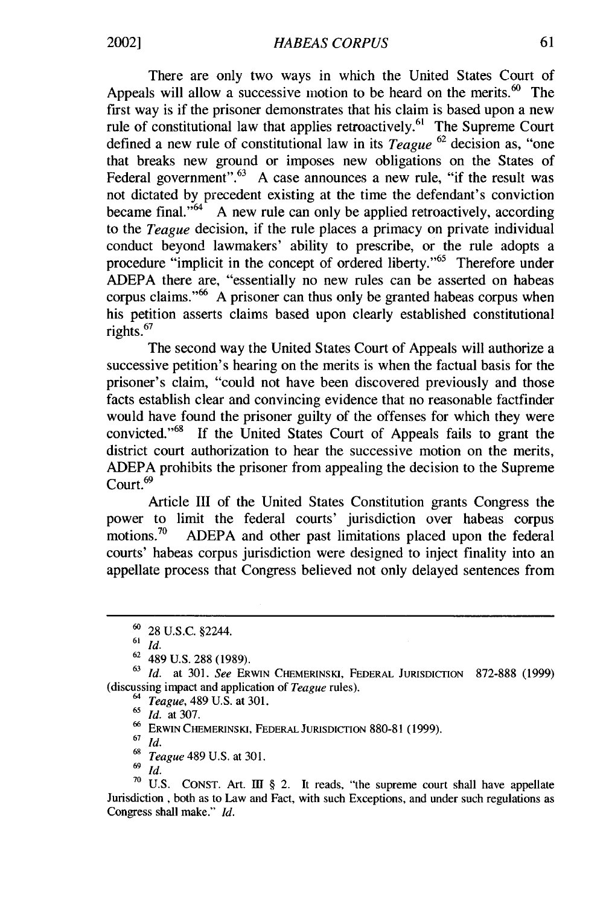There are only two ways in which the United States Court of Appeals will allow a successive motion to be heard on the merits. $60$  The first way is if the prisoner demonstrates that his claim is based upon a new rule of constitutional law that applies retroactively.<sup>61</sup> The Supreme Court defined a new rule of constitutional law in its *Teague* 62 decision as, "one that breaks new ground or imposes new obligations on the States of Federal government". $63$  A case announces a new rule, "if the result was not dictated by precedent existing at the time the defendant's conviction became final. $10^{64}$  A new rule can only be applied retroactively, according to the *Teague* decision, if the rule places a primacy on private individual conduct beyond lawmakers' ability to prescribe, or the rule adopts a procedure "implicit in the concept of ordered liberty."<sup>65</sup> Therefore under ADEPA there are, "essentially no new rules can be asserted on habeas corpus claims."<sup>66</sup> A prisoner can thus only be granted habeas corpus when his petition asserts claims based upon clearly established constitutional rights. <sup>67</sup>

The second way the United States Court of Appeals will authorize a successive petition's hearing on the merits is when the factual basis for the prisoner's claim, "could not have been discovered previously and those facts establish clear and convincing evidence that no reasonable factfinder would have found the prisoner guilty of the offenses for which they were convicted. '68 If the United States Court of Appeals fails to grant the district court authorization to hear the successive motion on the merits, ADEPA prohibits the prisoner from appealing the decision to the Supreme Court.<sup>69</sup>

Article III of the United States Constitution grants Congress the power to limit the federal courts' jurisdiction over habeas corpus motions.<sup>70</sup> ADEPA and other past limitations placed upon the federal courts' habeas corpus jurisdiction were designed to inject finality into an appellate process that Congress believed not only delayed sentences from

<sup>61</sup>*Id.*

<sup>64</sup>*Teague,* 489 U.S. at 301.

<sup>65</sup>*Id.* at 307.

**<sup>66</sup>**ERWIN CHEMERINSKi, FEDERAL JURISDICTION 880-81 (1999).

<sup>67</sup>*Id.*

**<sup>68</sup>***Teague* 489 U.S. at 301.

69 *Id.*

**<sup>70</sup>**U.S. CONST. Art. **II** § 2. It reads, "the supreme court shall have appellate Jurisdiction , both as to Law and Fact, with such Exceptions, and under such regulations as Congress shall make." *Id.*

**<sup>60</sup>**28 U.S.C. §2244.

 $62$  489 U.S. 288 (1989).

<sup>63</sup> *Id.* at 301. *See* ERWIN CHEMERINSKI, FEDERAL JURISDICTIoN 872-888 (1999) (discussing impact and application of *Teague* rules).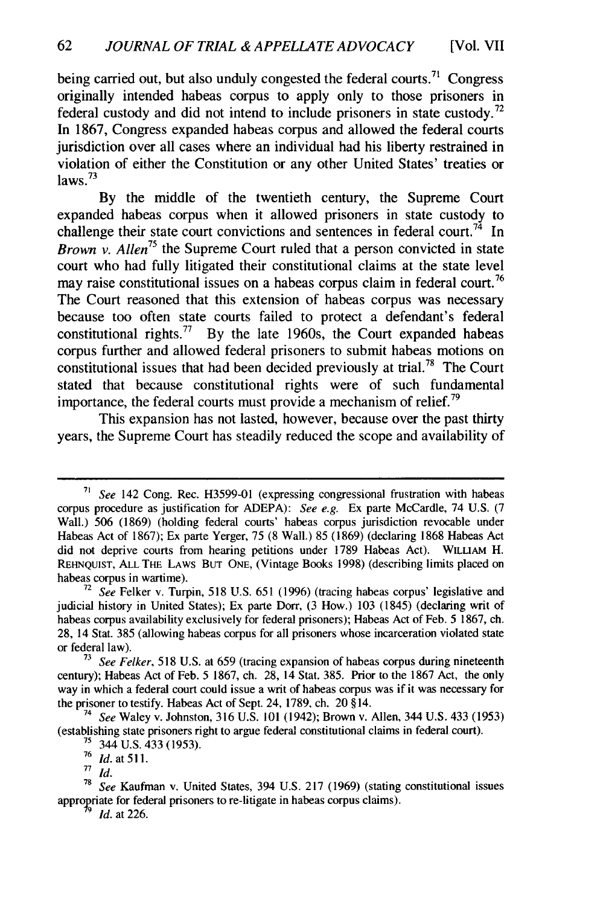being carried out, but also unduly congested the federal courts.<sup>71</sup> Congress originally intended habeas corpus to apply only to those prisoners in federal custody and did not intend to include prisoners in state custody.<sup>72</sup> In 1867, Congress expanded habeas corpus and allowed the federal courts jurisdiction over all cases where an individual had his liberty restrained in violation of either the Constitution or any other United States' treaties or  $l$ aws.<sup>73</sup>

By the middle of the twentieth century, the Supreme Court expanded habeas corpus when it allowed prisoners in state custody to challenge their state court convictions and sentences in federal court.<sup>74</sup> In *Brown v. Allen75* the Supreme Court ruled that a person convicted in state court who had fully litigated their constitutional claims at the state level may raise constitutional issues on a habeas corpus claim in federal court.<sup>76</sup> The Court reasoned that this extension of habeas corpus was necessary because too often state courts failed to protect a defendant's federal constitutional rights.<sup>77</sup> By the late 1960s, the Court expanded habeas corpus further and allowed federal prisoners to submit habeas motions on constitutional issues that had been decided previously at trial.78 The Court stated that because constitutional rights were of such fundamental importance, the federal courts must provide a mechanism of relief.<sup>79</sup>

This expansion has not lasted, however, because over the past thirty years, the Supreme Court has steadily reduced the scope and availability of

*<sup>5</sup>ee* 142 Cong. Rec. H3599-01 (expressing congressional frustration with habeas corpus procedure as justification for ADEPA): See e.g. Ex parte McCardle, 74 U.S. (7 Wall.) 506 (1869) (holding federal courts' habeas corpus jurisdiction revocable under Habeas Act of 1867); Ex parte Yerger, 75 (8 Wall.) 85 (1869) (declaring 1868 Habeas Act did not deprive courts from hearing petitions under 1789 Habeas Act). WILLIAM H. REHNQUIST, **ALL** THE LAWS **BUT ONE,** (Vintage Books 1998) (describing limits placed on habeas corpus in wartime).

 $72$  See Felker v. Turpin, 518 U.S. 651 (1996) (tracing habeas corpus' legislative and judicial history in United States); Ex parte Dorr, (3 How.) 103 (1845) (declaring writ of habeas corpus availability exclusively for federal prisoners); Habeas Act of Feb. 5 1867, ch. 28, 14 Stat. 385 (allowing habeas corpus for all prisoners whose incarceration violated state or federal law).

**<sup>73</sup>**See Felker, 518 U.S. at 659 (tracing expansion of habeas corpus during nineteenth century); Habeas Act of Feb. 5 1867, ch. 28, 14 Stat. 385. Prior to the 1867 Act, the only way in which a federal court could issue a writ of habeas corpus was if it was necessary for the prisoner to testify. Habeas Act of Sept. 24, 1789, ch. 20 § 14.

**<sup>74</sup>** See Waley v. Johnston, 316 U.S. 101 (1942); Brown v. Allen, 344 U.S. 433 (1953) (establishing state prisoners right to argue federal constitutional claims in federal court).

**<sup>7&#</sup>x27;** 344 U.S. 433 (1953).

<sup>76</sup>*Id.* at *511.*

**<sup>77</sup>***Id.*

**<sup>78</sup>**See Kaufman v. United States, 394 U.S. 217 (1969) (stating constitutional issues appropriate for federal prisoners to re-litigate in habeas corpus claims).

**<sup>9</sup>** *Id.* at 226.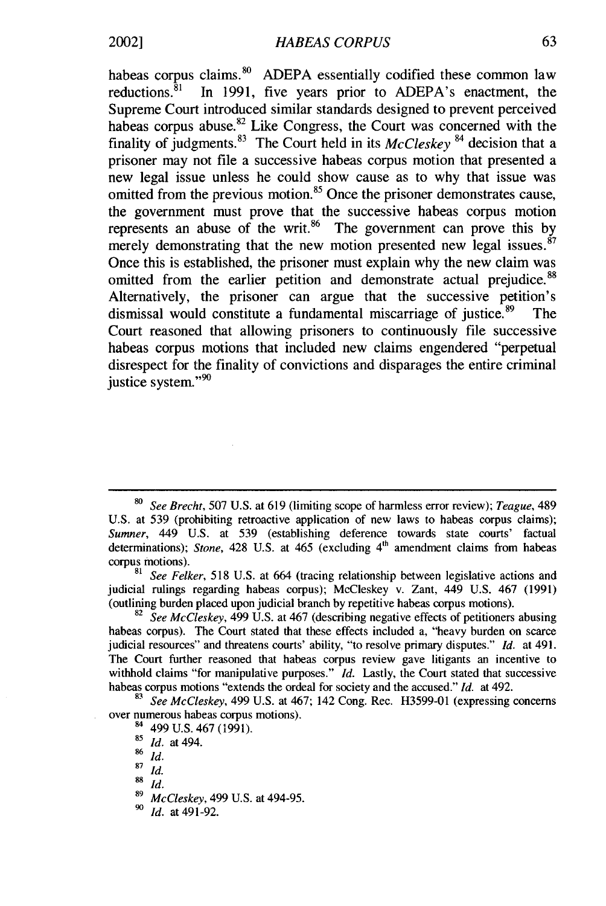habeas corpus claims.<sup>80</sup> ADEPA essentially codified these common law reductions.<sup>81</sup> In 1991, five years prior to ADEPA's enactment, the Supreme Court introduced similar standards designed to prevent perceived habeas corpus abuse.<sup>82</sup> Like Congress, the Court was concerned with the finality of judgments.83 The Court held in its *McCleskey* 84 decision that a prisoner may not file a successive habeas corpus motion that presented a new legal issue unless he could show cause as to why that issue was omitted from the previous motion.<sup>85</sup> Once the prisoner demonstrates cause, the government must prove that the successive habeas corpus motion represents an abuse of the writ.<sup>86</sup> The government can prove this by merely demonstrating that the new motion presented new legal issues. $87$ Once this is established, the prisoner must explain why the new claim was omitted from the earlier petition and demonstrate actual prejudice.<sup>88</sup> Alternatively, the prisoner can argue that the successive petition's dismissal would constitute a fundamental miscarriage of justice. $89$  The Court reasoned that allowing prisoners to continuously file successive habeas corpus motions that included new claims engendered "perpetual disrespect for the finality of convictions and disparages the entire criminal justice system."<sup>90</sup>

<sup>82</sup>*See McCleskey,* 499 U.S. at 467 (describing negative effects of petitioners abusing habeas corpus). The Court stated that these effects included a, "heavy burden on scarce judicial resources" and threatens courts' ability, "to resolve primary disputes." *Id.* at 491. The Court further reasoned that habeas corpus review gave litigants an incentive to withhold claims "for manipulative purposes." *Id.* Lastly, the Court stated that successive habeas corpus motions "extends the ordeal for society and the accused." *Id.* at 492.

**<sup>83</sup>***See McCleskey,* 499 U.S. at 467; 142 Cong. Rec. H3599-01 (expressing concerns over numerous habeas corpus motions).

**<sup>80</sup>***See Brecht,* 507 U.S. at 619 (limiting scope of harmless error review); *Teague,* <sup>489</sup> U.S. at 539 (prohibiting retroactive application of new laws to habeas corpus claims); *Sumner,* 449 U.S. at 539 (establishing deference towards state courts' factual determinations); *Stone*, 428 U.S. at 465 (excluding 4<sup>th</sup> amendment claims from habeas corpus motions).

**<sup>81</sup>***See Felker,* 518 U.S. at 664 (tracing relationship between legislative actions and judicial rulings regarding habeas corpus); McCleskey v. Zant, 449 U.S. 467 (1991) (outlining burden placed upon judicial branch by repetitive habeas corpus motions).

<sup>84 499</sup> U.S. 467 (1991).

**<sup>85</sup>***Id.* at 494.

**<sup>86</sup>** *Id.*

 $87 \frac{10}{14}$ 

**<sup>88</sup>** Id.

**<sup>89</sup>***McCleskey,* 499 U.S. at 494-95.

**<sup>90</sup>** *Id.* at 491-92.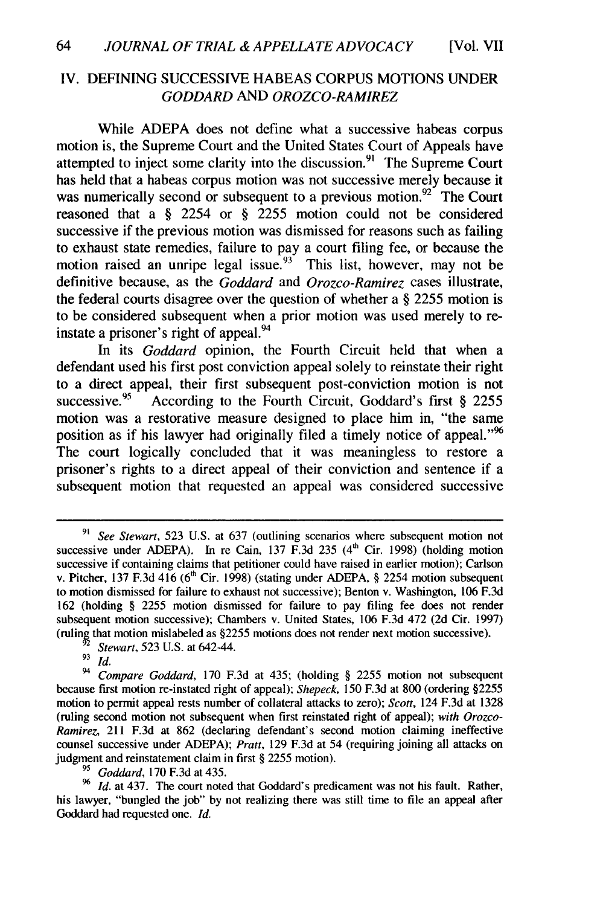#### IV. DEFINING SUCCESSIVE HABEAS CORPUS MOTIONS UNDER *GODDARD AND OROZCO-RAMIREZ*

While ADEPA does not define what a successive habeas corpus motion is, the Supreme Court and the United States Court of Appeals have attempted to inject some clarity into the discussion.<sup>91</sup> The Supreme Court has held that a habeas corpus motion was not successive merely because it was numerically second or subsequent to a previous motion.<sup>92</sup> The Court reasoned that a § 2254 or § 2255 motion could not be considered successive if the previous motion was dismissed for reasons such as failing to exhaust state remedies, failure to pay a court filing fee, or because the motion raised an unripe legal issue.<sup>93</sup> This list, however, may not be definitive because, as the *Goddard* and *Orozco-Ramirez* cases illustrate, the federal courts disagree over the question of whether a § 2255 motion is to be considered subsequent when a prior motion was used merely to reinstate a prisoner's right of appeal. <sup>94</sup>

In its Goddard opinion, the Fourth Circuit held that when a defendant used his first post conviction appeal solely to reinstate their right to a direct appeal, their first subsequent post-conviction motion is not successive.<sup>95</sup> According to the Fourth Circuit, Goddard's first § 2255 motion was a restorative measure designed to place him in, "the same position as if his lawyer had originally filed a timely notice of appeal."<sup>96</sup> The court logically concluded that it was meaningless to restore a prisoner's rights to a direct appeal of their conviction and sentence if a subsequent motion that requested an appeal was considered successive

*G Goddard,* 170 F.3d at 435.

<sup>96</sup> *Id.* at 437. The court noted that Goddard's predicament was not his fault. Rather, his lawyer, "bungled the job" by not realizing there was still time to file an appeal after Goddard had requested one. *Id.*

See Stewart, 523 U.S. at 637 (outlining scenarios where subsequent motion not successive under ADEPA). In re Cain, 137 F.3d 235  $(4<sup>th</sup>$  Cir. 1998) (holding motion successive if containing claims that petitioner could have raised in earlier motion); Carlson v. Pitcher, 137 F.3d 416 **(6'** Cir. 1998) (stating under ADEPA, § 2254 motion subsequent to motion dismissed for failure to exhaust not successive); Benton v. Washington, 106 F.3d 162 (holding § 2255 motion dismissed for failure to pay filing fee does not render subsequent motion successive); Chambers v. United States, 106 F.3d 472 (2d Cir. 1997) (ruling that motion mislabeled as §2255 motions does not render next motion successive).

<sup>&</sup>lt;sup>92</sup> *Stewart*, 523 U.S. at 642-44.

**<sup>93</sup>** *Id.*

<sup>94</sup> *Compare Goddard,* 170 F.3d at 435; (holding § 2255 motion not subsequent because first motion re-instated right of appeal); *Shepeck,* 150 F.3d at 800 (ordering §2255 motion to permit appeal rests number of collateral attacks to zero); *Scott,* 124 F.3d at 1328 (ruling second motion not subsequent when first reinstated right of appeal); *with Orozco-Ramirez,* 211 F.3d at 862 (declaring defendant's second motion claiming ineffective counsel successive under ADEPA); *Pratt,* 129 F.3d at 54 (requiring joining all attacks on judgment and reinstatement claim in first § 2255 motion).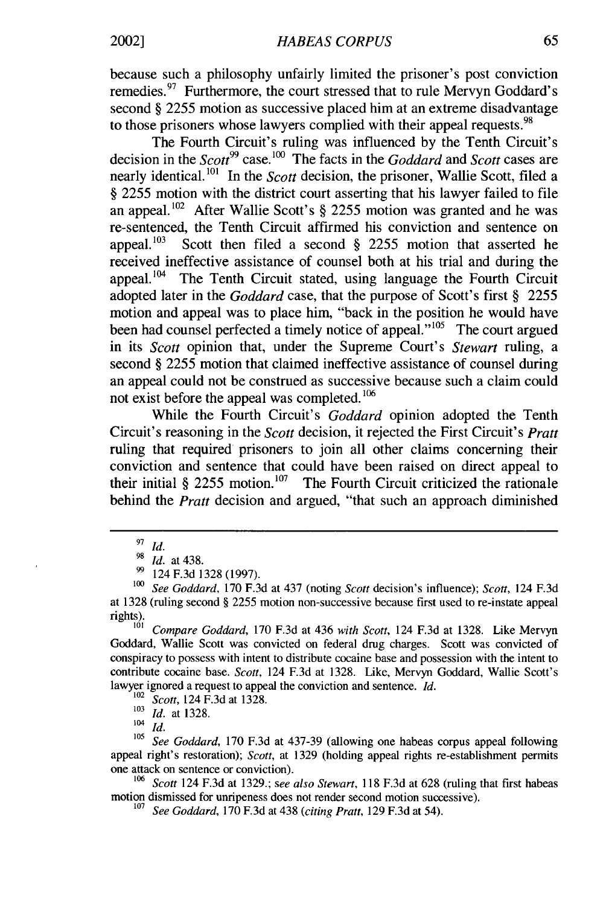because such a philosophy unfairly limited the prisoner's post conviction remedies.  $97$  Furthermore, the court stressed that to rule Mervyn Goddard's second § 2255 motion as successive placed him at an extreme disadvantage to those prisoners whose lawyers complied with their appeal requests.<sup>98</sup>

The Fourth Circuit's ruling was influenced by the Tenth Circuit's decision in the *Scott*<sup>99</sup> case.<sup>100</sup> The facts in the *Goddard* and *Scott* cases are nearly identical. 101 In the *Scott* decision, the prisoner, Wallie Scott, filed a § 2255 motion with the district court asserting that his lawyer failed to file an appeal.<sup>102</sup> After Wallie Scott's  $\S$  2255 motion was granted and he was re-sentenced, the Tenth Circuit affirmed his conviction and sentence on appeal.<sup>103</sup> Scott then filed a second  $\S$  2255 motion that asserted he received ineffective assistance of counsel both at his trial and during the appeal. $104$  The Tenth Circuit stated, using language the Fourth Circuit adopted later in the *Goddard* case, that the purpose of Scott's first § 2255 motion and appeal was to place him, "back in the position he would have been had counsel perfected a timely notice of appeal."<sup>105</sup> The court argued in its *Scott* opinion that, under the Supreme Court's *Stewart* ruling, a second § 2255 motion that claimed ineffective assistance of counsel during an appeal could not be construed as successive because such a claim could not exist before the appeal was completed. **<sup>106</sup>**

While the Fourth Circuit's *Goddard* opinion adopted the Tenth Circuit's reasoning in the *Scott* decision, it rejected the First Circuit's *Pratt* ruling that required prisoners to join all other claims concerning their conviction and sentence that could have been raised on direct appeal to their initial  $\frac{8}{9}$  2255 motion.<sup>107</sup> The Fourth Circuit criticized the rationale behind the *Pratt* decision and argued, "that such an approach diminished

 $104 \frac{10}{14}$ 

<sup>104</sup> *Id. See Goddard*, 170 F.3d at 437-39 (allowing one habeas corpus appeal following appeal right's restoration); Scott, at 1329 (holding appeal rights re-establishment permits one attack on sentence or conviction).

<sup>106</sup> Scott 124 F.3d at 1329.; see also Stewart, 118 F.3d at 628 (ruling that first habeas motion dismissed for unripeness does not render second motion successive).

 $\frac{97}{98}$ *id.* 

**<sup>98</sup>***Id.* at 438.

**<sup>99</sup>**124 F.3d 1328 (1997).

**<sup>100</sup>**See Goddard, 170 F.3d at 437 (noting Scott decision's influence); *Scott,* 124 F.3d at 1328 (ruling second § 2255 motion non-successive because first used to re-instate appeal rights).

Compare Goddard, 170 F.3d at 436 with Scott, 124 F.3d at 1328. Like Mervyn Goddard, Wallie Scott was convicted on federal drug charges. Scott was convicted of conspiracy to possess with intent to distribute cocaine base and possession with the intent to contribute cocaine base. Scott, 124 F.3d at 1328. Like, Mervyn Goddard, Wallie Scott's lawyer ignored a request to appeal the conviction and sentence. *Id.*

Scott, 124 F.3d at 1328.

<sup>103</sup> *Id.* at 1328.

<sup>&</sup>lt;sup>107</sup> See Goddard, 170 F.3d at 438 (citing Pratt, 129 F.3d at 54).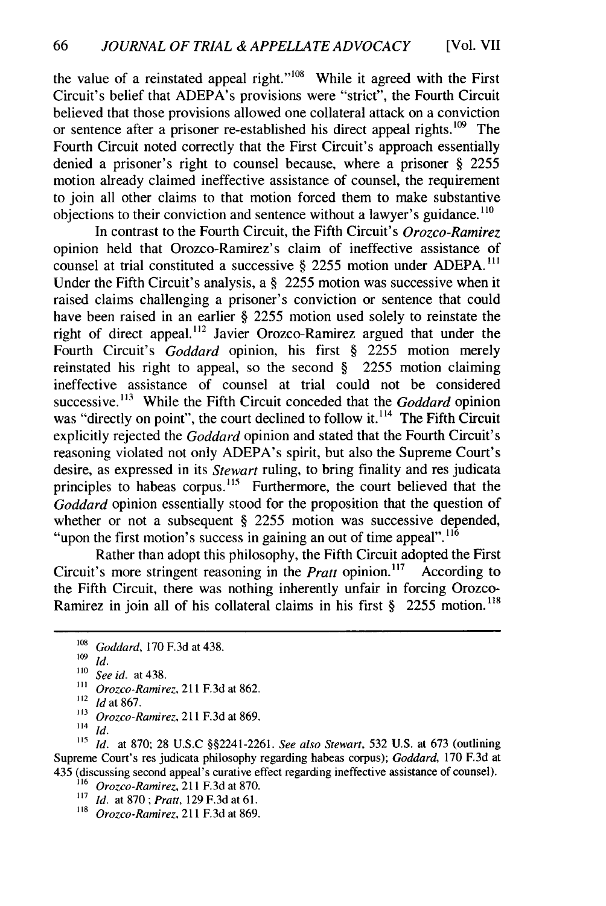the value of a reinstated appeal right."<sup>108</sup> While it agreed with the First Circuit's belief that ADEPA's provisions were "strict", the Fourth Circuit believed that those provisions allowed one collateral attack on a conviction or sentence after a prisoner re-established his direct appeal rights.  $109$  The Fourth Circuit noted correctly that the First Circuit's approach essentially denied a prisoner's right to counsel because, where a prisoner § 2255 motion already claimed ineffective assistance of counsel, the requirement to join all other claims to that motion forced them to make substantive objections to their conviction and sentence without a lawyer's guidance. **<sup>110</sup>**

In contrast to the Fourth Circuit, the Fifth Circuit's *Orozco-Ramirez* opinion held that Orozco-Ramirez's claim of ineffective assistance of counsel at trial constituted a successive § 2255 motion under ADEPA.<sup>111</sup> Under the Fifth Circuit's analysis, a § 2255 motion was successive when it raised claims challenging a prisoner's conviction or sentence that could have been raised in an earlier § 2255 motion used solely to reinstate the right of direct appeal.<sup>112</sup> Javier Orozco-Ramirez argued that under the Fourth Circuit's *Goddard* opinion, his first § 2255 motion merely reinstated his right to appeal, so the second § 2255 motion claiming ineffective assistance of counsel at trial could not be considered successive.<sup>113</sup> While the Fifth Circuit conceded that the *Goddard* opinion was "directly on point", the court declined to follow it. $^{114}$  The Fifth Circuit explicitly rejected the *Goddard* opinion and stated that the Fourth Circuit's reasoning violated not only ADEPA's spirit, but also the Supreme Court's desire, as expressed in its *Stewart* ruling, to bring finality and res judicata principles to habeas corpus.<sup>115</sup> Furthermore, the court believed that the *Goddard* opinion essentially stood for the proposition that the question of whether or not a subsequent § 2255 motion was successive depended, "upon the first motion's success in gaining an out of time appeal".  $11\overline{6}$ 

Rather than adopt this philosophy, the Fifth Circuit adopted the First Circuit's more stringent reasoning in the *Pratt* opinion.<sup>117</sup> According to the Fifth Circuit, there was nothing inherently unfair in forcing Orozco-Ramirez in join all of his collateral claims in his first § 2255 motion.<sup>118</sup>

**<sup>108</sup>** *Goddard,* 170 F.3d at 438.

 $109 \overline{Id}$ .

**<sup>&#</sup>x27;10** *See id.* at 438.

**<sup>111</sup>***Orozco-Ramirez,* 211 F.3d at 862. **"'** *Id* at 867.

*<sup>113</sup>Orozeo-Ramirez,* 211 F.3d at 869.

**<sup>114</sup>***Id.*

**<sup>11&#</sup>x27;** *Id.* at 870, 28 U.S.C §§2241-2261. *See also Stewart,* 532 U.S. at 673 (outlining Supreme Court's res judicata philosophy regarding habeas corpus); *Goddard,* 170 F.3d at 435 (discussing second appeal's curative effect regarding ineffective assistance of counsel).

<sup>&</sup>lt;sup>116</sup> *Orozco-Ramirez*, 211 F.3d at 870.

**<sup>117</sup>***Id.* at 870; *Pratt,* 129 F.3d at 61.

**<sup>118</sup>***Orozco-Ramirez,* 211 F.3d at 869.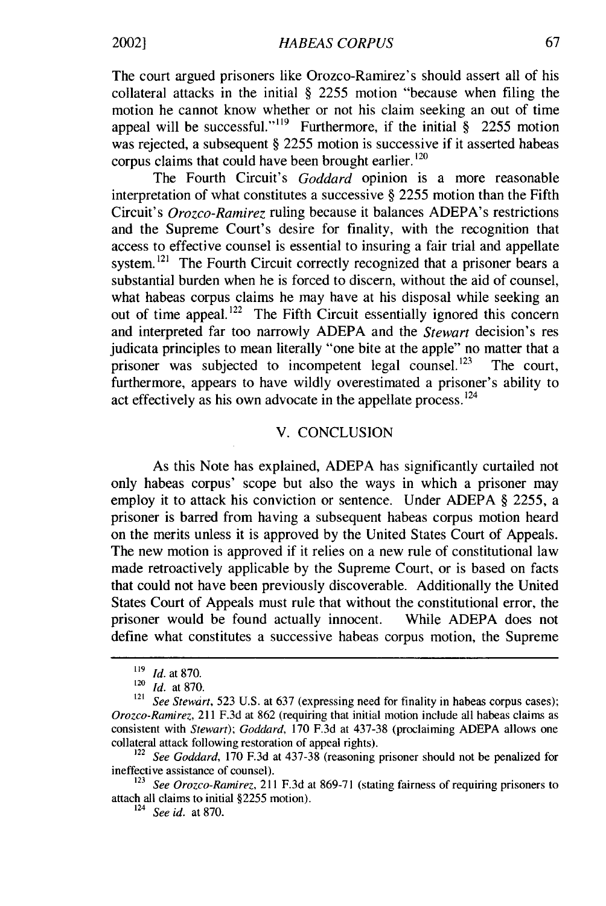The court argued prisoners like Orozco-Ramirez's should assert all of his collateral attacks in the initial § 2255 motion "because when filing the motion he cannot know whether or not his claim seeking an out of time appeal will be successful."<sup>119</sup> Furthermore, if the initial  $\S$  2255 motion was rejected, a subsequent § 2255 motion is successive if it asserted habeas corpus claims that could have been brought earlier.<sup>120</sup>

The Fourth Circuit's *Goddard* opinion is a more reasonable interpretation of what constitutes a successive § 2255 motion than the Fifth Circuit's *Orozco-Ramirez* ruling because it balances ADEPA's restrictions and the Supreme Court's desire for finality, with the recognition that access to effective counsel is essential to insuring a fair trial and appellate system.<sup>121</sup> The Fourth Circuit correctly recognized that a prisoner bears a substantial burden when he is forced to discern, without the aid of counsel, what habeas corpus claims he may have at his disposal while seeking an out of time appeal.<sup>122</sup> The Fifth Circuit essentially ignored this concern and interpreted far too narrowly ADEPA and the *Stewart* decision's res judicata principles to mean literally "one bite at the apple" no matter that a prisoner was subjected to incompetent legal counsel.<sup>123</sup> The court, furthermore, appears to have wildly overestimated a prisoner's ability to act effectively as his own advocate in the appellate process.<sup>124</sup>

#### V. CONCLUSION

As this Note has explained, ADEPA has significantly curtailed not only habeas corpus' scope but also the ways in which a prisoner may employ it to attack his conviction or sentence. Under ADEPA § 2255, a prisoner is barred from having a subsequent habeas corpus motion heard on the merits unless it is approved by the United States Court of Appeals. The new motion is approved if it relies on a new rule of constitutional law made retroactively applicable by the Supreme Court, or is based on facts that could not have been previously discoverable. Additionally the United States Court of Appeals must rule that without the constitutional error, the prisoner would be found actually innocent. While ADEPA does not define what constitutes a successive habeas corpus motion, the Supreme

**<sup>&</sup>quot;9** *Id.* at 870. **<sup>120</sup>***Id.* at 870.

<sup>&</sup>lt;sup>121</sup> *See Stewart,* 523 U.S. at 637 (expressing need for finality in habeas corpus cases); *Orozco-Ramirez,* 211 F.3d at 862 (requiring that initial motion include all habeas claims as consistent with *Stewart);* Goddard, 170 F.3d at 437-38 (proclaiming ADEPA allows one collateral attack following restoration of appeal rights).

<sup>&</sup>lt;sup>122</sup> See Goddard, 170 F.3d at 437-38 (reasoning prisoner should not be penalized for ineffective assistance of counsel).

**<sup>123</sup>***See Orozco-Ramirez,* 211 F.3d at 869-71 (stating fairness of requiring prisoners to attach all claims to initial §2255 motion).

<sup>124</sup>*See id.* at 870.